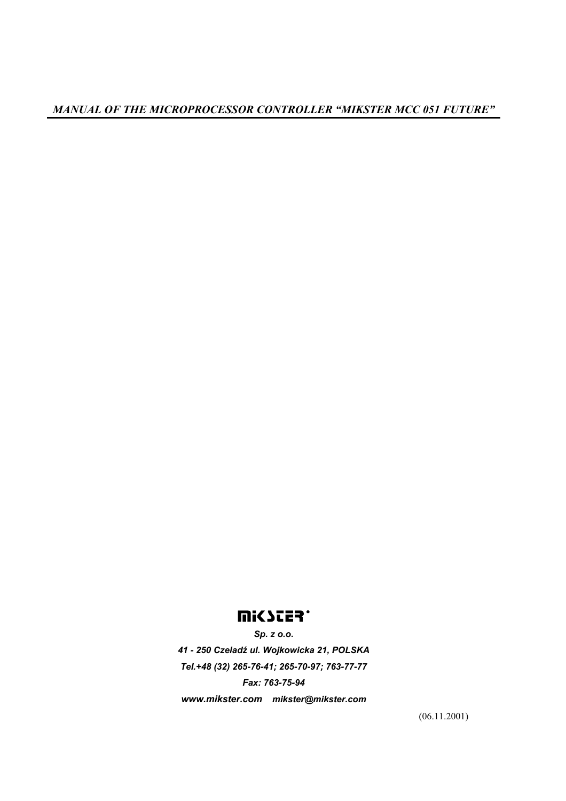# mi<scea\*

*Sp. z o.o. 41 - 250 Czeladź ul. Wojkowicka 21, POLSKA Tel.+48 (32) 265-76-41; 265-70-97; 763-77-77 Fax: 763-75-94 www.mikster.com mikster@mikster.com* 

(06.11.2001)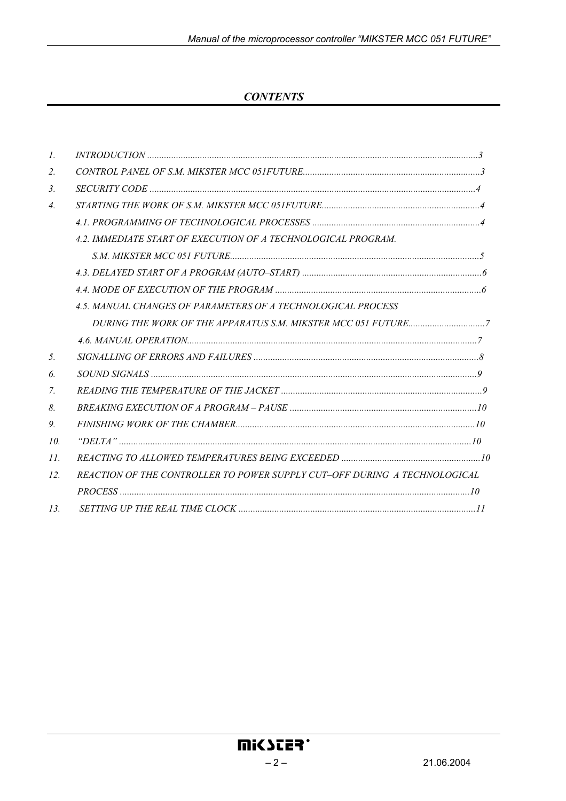## **CONTENTS**

| $\mathcal{I}$ .  |                                                                           |  |
|------------------|---------------------------------------------------------------------------|--|
| $\overline{2}$ . |                                                                           |  |
| $\mathfrak{Z}$ . |                                                                           |  |
| 4.               |                                                                           |  |
|                  |                                                                           |  |
|                  | 4.2. IMMEDIATE START OF EXECUTION OF A TECHNOLOGICAL PROGRAM.             |  |
|                  |                                                                           |  |
|                  |                                                                           |  |
|                  |                                                                           |  |
|                  | 4.5. MANUAL CHANGES OF PARAMETERS OF A TECHNOLOGICAL PROCESS              |  |
|                  |                                                                           |  |
|                  |                                                                           |  |
| 5.               |                                                                           |  |
| 6.               |                                                                           |  |
| 7.               |                                                                           |  |
| 8.               |                                                                           |  |
| 9.               |                                                                           |  |
| 10 <sup>2</sup>  |                                                                           |  |
| II.              |                                                                           |  |
| 12.              | REACTION OF THE CONTROLLER TO POWER SUPPLY CUT-OFF DURING A TECHNOLOGICAL |  |
|                  |                                                                           |  |
| 13.              |                                                                           |  |
|                  |                                                                           |  |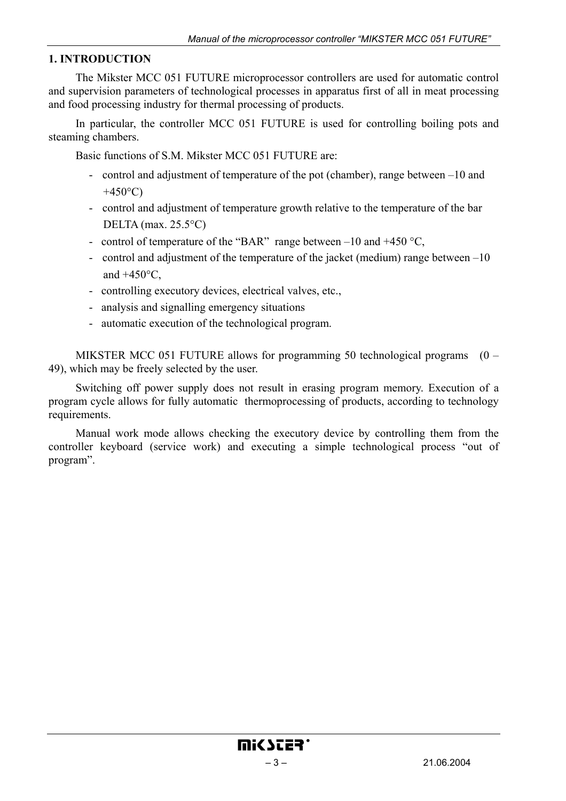#### **1. INTRODUCTION**

The Mikster MCC 051 FUTURE microprocessor controllers are used for automatic control and supervision parameters of technological processes in apparatus first of all in meat processing and food processing industry for thermal processing of products.

In particular, the controller MCC 051 FUTURE is used for controlling boiling pots and steaming chambers.

Basic functions of S.M. Mikster MCC 051 FUTURE are:

- control and adjustment of temperature of the pot (chamber), range between –10 and  $+450$ °C)
- control and adjustment of temperature growth relative to the temperature of the bar DELTA (max. 25.5°C)
- control of temperature of the "BAR" range between  $-10$  and  $+450$  °C,
- control and adjustment of the temperature of the jacket (medium) range between –10 and  $+450^{\circ}$ C.
- controlling executory devices, electrical valves, etc.,
- analysis and signalling emergency situations
- automatic execution of the technological program.

MIKSTER MCC 051 FUTURE allows for programming 50 technological programs (0 – 49), which may be freely selected by the user.

Switching off power supply does not result in erasing program memory. Execution of a program cycle allows for fully automatic thermoprocessing of products, according to technology requirements.

Manual work mode allows checking the executory device by controlling them from the controller keyboard (service work) and executing a simple technological process "out of program".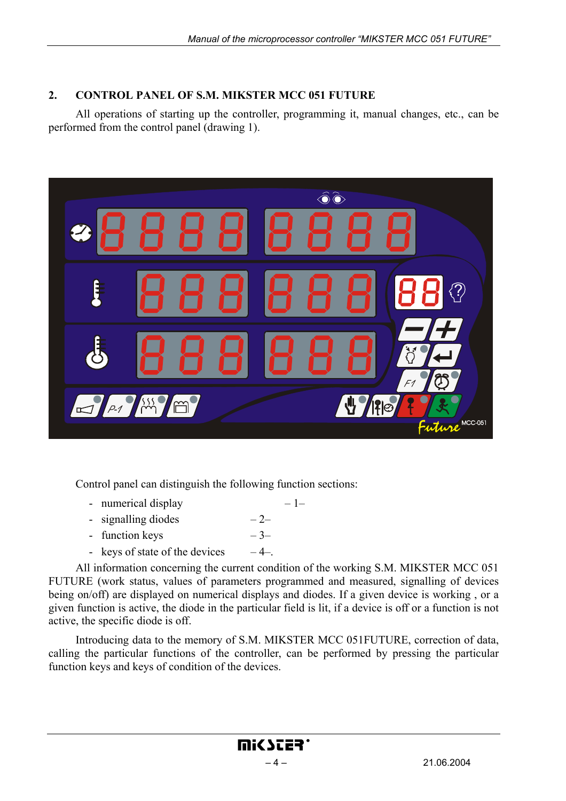## **2. CONTROL PANEL OF S.M. MIKSTER MCC 051 FUTURE**

All operations of starting up the controller, programming it, manual changes, etc., can be performed from the control panel (drawing 1).



Control panel can distinguish the following function sections:

- numerical display  $-1$
- signalling diodes  $-2$
- function keys  $-3$
- keys of state of the devices  $-4-$ .

All information concerning the current condition of the working S.M. MIKSTER MCC 051 FUTURE (work status, values of parameters programmed and measured, signalling of devices being on/off) are displayed on numerical displays and diodes. If a given device is working , or a given function is active, the diode in the particular field is lit, if a device is off or a function is not active, the specific diode is off.

Introducing data to the memory of S.M. MIKSTER MCC 051FUTURE, correction of data, calling the particular functions of the controller, can be performed by pressing the particular function keys and keys of condition of the devices.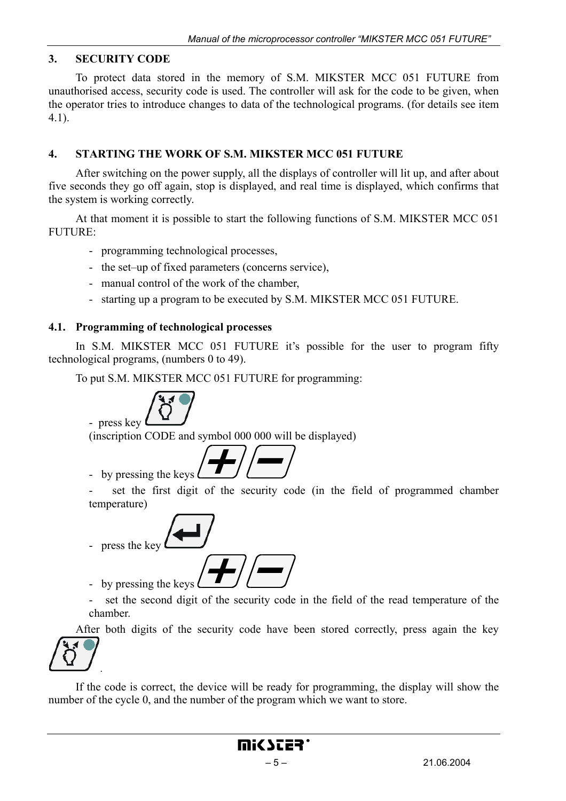#### **3. SECURITY CODE**

To protect data stored in the memory of S.M. MIKSTER MCC 051 FUTURE from unauthorised access, security code is used. The controller will ask for the code to be given, when the operator tries to introduce changes to data of the technological programs. (for details see item 4.1).

#### **4. STARTING THE WORK OF S.M. MIKSTER MCC 051 FUTURE**

After switching on the power supply, all the displays of controller will lit up, and after about five seconds they go off again, stop is displayed, and real time is displayed, which confirms that the system is working correctly.

At that moment it is possible to start the following functions of S.M. MIKSTER MCC 051 FUTURE:

- programming technological processes,
- the set–up of fixed parameters (concerns service),
- manual control of the work of the chamber,
- starting up a program to be executed by S.M. MIKSTER MCC 051 FUTURE.

#### **4.1. Programming of technological processes**

In S.M. MIKSTER MCC 051 FUTURE it's possible for the user to program fifty technological programs, (numbers 0 to 49).

To put S.M. MIKSTER MCC 051 FUTURE for programming:

- press key

(inscription CODE and symbol 000 000 will be displayed)



set the first digit of the security code (in the field of programmed chamber temperature)

$$
- \t{press the key}
$$

- by pressing the keys set the second digit of the security code in the field of the read temperature of the

chamber.

.

After both digits of the security code have been stored correctly, press again the key



If the code is correct, the device will be ready for programming, the display will show the number of the cycle 0, and the number of the program which we want to store.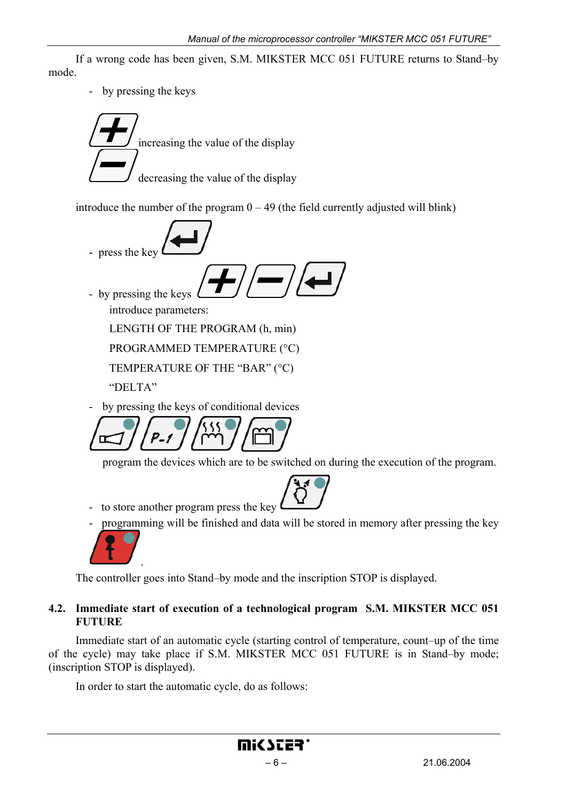If a wrong code has been given, S.M. MIKSTER MCC 051 FUTURE returns to Stand–by mode.

- by pressing the keys

increasing the value of the display decreasing the value of the display

introduce the number of the program  $0 - 49$  (the field currently adjusted will blink)

$$
\sqrt{4\pi}
$$

- press the key  $\blacksquare$ 

- by pressing the keys introduce parameters:

LENGTH OF THE PROGRAM (h, min)

PROGRAMMED TEMPERATURE (°C)

TEMPERATURE OF THE "BAR" (°C)

"DELTA"

by pressing the keys of conditional devices

program the devices which are to be switched on during the execution of the program.



- to store another program press the key
	- programming will be finished and data will be stored in memory after pressing the key



The controller goes into Stand–by mode and the inscription STOP is displayed.

## **4.2. Immediate start of execution of a technological program S.M. MIKSTER MCC 051 FUTURE**

Immediate start of an automatic cycle (starting control of temperature, count–up of the time of the cycle) may take place if S.M. MIKSTER MCC 051 FUTURE is in Stand–by mode; (inscription STOP is displayed).

In order to start the automatic cycle, do as follows: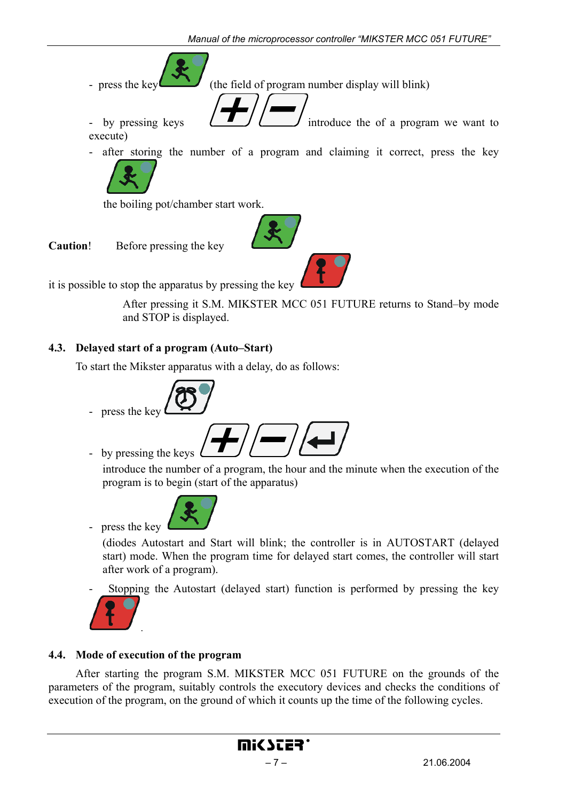- press the key  $\left( \begin{array}{c} \bullet \\ \bullet \end{array} \right)$  (the field of program number display will blink)

- by pressing keys  $\left( \begin{array}{c} \blacksquare \end{array} \right)$  introduce the of a program we want to execute)
- after storing the number of a program and claiming it correct, press the key



the boiling pot/chamber start work.

**Caution**! Before pressing the key

it is possible to stop the apparatus by pressing the key

 After pressing it S.M. MIKSTER MCC 051 FUTURE returns to Stand–by mode and STOP is displayed.

## **4.3. Delayed start of a program (Auto–Start)**

To start the Mikster apparatus with a delay, do as follows:



press the key

- by pressing the keys

introduce the number of a program, the hour and the minute when the execution of the program is to begin (start of the apparatus)



(diodes Autostart and Start will blink; the controller is in AUTOSTART (delayed start) mode. When the program time for delayed start comes, the controller will start after work of a program).

- Stopping the Autostart (delayed start) function is performed by pressing the key



## **4.4. Mode of execution of the program**

After starting the program S.M. MIKSTER MCC 051 FUTURE on the grounds of the parameters of the program, suitably controls the executory devices and checks the conditions of execution of the program, on the ground of which it counts up the time of the following cycles.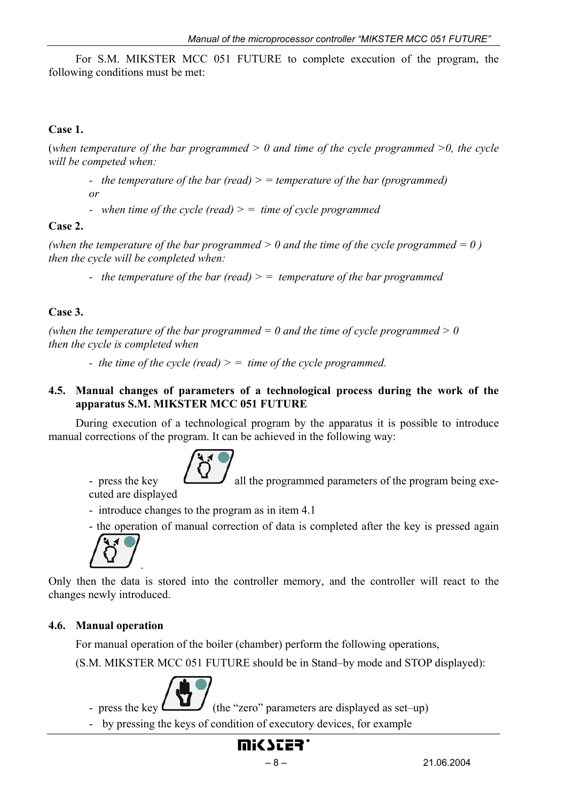For S.M. MIKSTER MCC 051 FUTURE to complete execution of the program, the following conditions must be met:

## **Case 1.**

(*when temperature of the bar programmed > 0 and time of the cycle programmed >0, the cycle will be competed when:* 

- *the temperature of the bar (read) > = temperature of the bar (programmed) or*
- *when time of the cycle (read) > = time of cycle programmed*

## **Case 2.**

*(when the temperature of the bar programmed*  $> 0$  *and the time of the cycle programmed*  $= 0$ *) then the cycle will be completed when:* 

*- the temperature of the bar (read) > = temperature of the bar programmed*

## **Case 3.**

*(when the temperature of the bar programmed*  $= 0$  *and the time of cycle programmed*  $> 0$ *then the cycle is completed when* 

*- the time of the cycle (read) > = time of the cycle programmed.*

## **4.5. Manual changes of parameters of a technological process during the work of the apparatus S.M. MIKSTER MCC 051 FUTURE**

During execution of a technological program by the apparatus it is possible to introduce manual corrections of the program. It can be achieved in the following way:



- press the key  $\Box$  all the programmed parameters of the program being executed are displayed

- introduce changes to the program as in item 4.1
- the operation of manual correction of data is completed after the key is pressed again



Only then the data is stored into the controller memory, and the controller will react to the changes newly introduced.

## **4.6. Manual operation**

For manual operation of the boiler (chamber) perform the following operations,

(S.M. MIKSTER MCC 051 FUTURE should be in Stand–by mode and STOP displayed):



- press the key  $\begin{bmatrix} 1 & 1 \\ 1 & 1 \end{bmatrix}$  (the "zero" parameters are displayed as set–up)

- by pressing the keys of condition of executory devices, for example

# mic scer'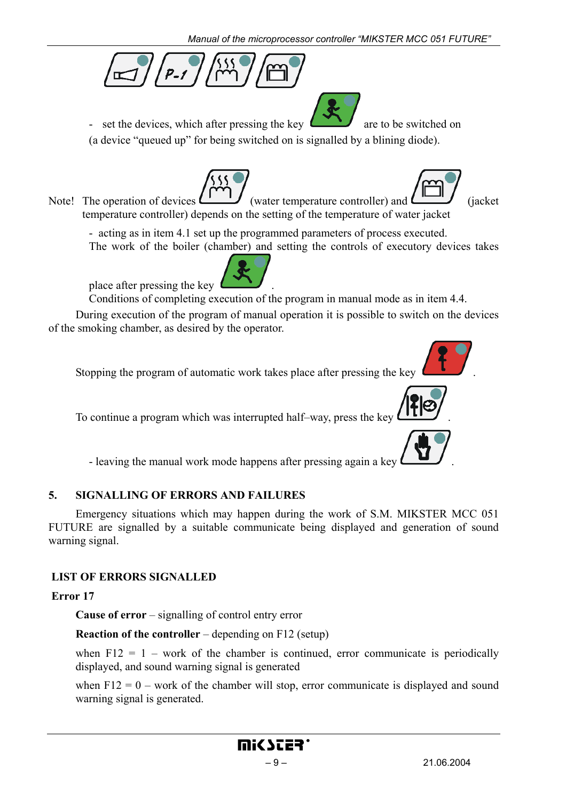

- set the devices, which after pressing the key  $\sim$  are to be switched on

(a device "queued up" for being switched on is signalled by a blining diode).

Note! The operation of devices  $\begin{bmatrix} 1 & 1 \\ 1 & 1 \end{bmatrix}$  (water temperature controller) and  $\begin{bmatrix} 1 & 1 \\ 1 & 1 \end{bmatrix}$  (jacket temperature controller) depends on the setting of the temperature of water jacket

- acting as in item 4.1 set up the programmed parameters of process executed. The work of the boiler (chamber) and setting the controls of executory devices takes

place after pressing the key .

Conditions of completing execution of the program in manual mode as in item 4.4.

During execution of the program of manual operation it is possible to switch on the devices of the smoking chamber, as desired by the operator.

Stopping the program of automatic work takes place after pressing the key .

To continue a program which was interrupted half–way, press the key .

- leaving the manual work mode happens after pressing again a key .

## **5. SIGNALLING OF ERRORS AND FAILURES**

Emergency situations which may happen during the work of S.M. MIKSTER MCC 051 FUTURE are signalled by a suitable communicate being displayed and generation of sound warning signal.

## **LIST OF ERRORS SIGNALLED**

## **Error 17**

**Cause of error** – signalling of control entry error

**Reaction of the controller** – depending on F12 (setup)

when  $F12 = 1$  – work of the chamber is continued, error communicate is periodically displayed, and sound warning signal is generated

when  $F12 = 0$  – work of the chamber will stop, error communicate is displayed and sound warning signal is generated.





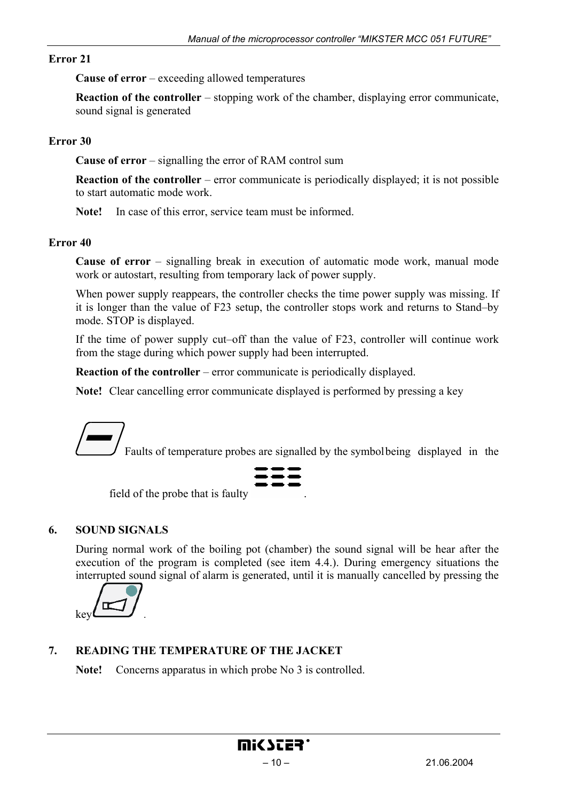#### **Error 21**

**Cause of error** – exceeding allowed temperatures

**Reaction of the controller** – stopping work of the chamber, displaying error communicate, sound signal is generated

#### **Error 30**

**Cause of error** – signalling the error of RAM control sum

**Reaction of the controller** – error communicate is periodically displayed; it is not possible to start automatic mode work.

**Note!** In case of this error, service team must be informed.

#### **Error 40**

**Cause of error** – signalling break in execution of automatic mode work, manual mode work or autostart, resulting from temporary lack of power supply.

When power supply reappears, the controller checks the time power supply was missing. If it is longer than the value of F23 setup, the controller stops work and returns to Stand–by mode. STOP is displayed.

If the time of power supply cut–off than the value of F23, controller will continue work from the stage during which power supply had been interrupted.

**Reaction of the controller** – error communicate is periodically displayed.

**Note!** Clear cancelling error communicate displayed is performed by pressing a key

Faults of temperature probes are signalled by the symbol being displayed in the



field of the probe that is faulty.

#### **6. SOUND SIGNALS**

During normal work of the boiling pot (chamber) the sound signal will be hear after the execution of the program is completed (see item 4.4.). During emergency situations the interrupted sound signal of alarm is generated, until it is manually cancelled by pressing the



## **7. READING THE TEMPERATURE OF THE JACKET**

**Note!** Concerns apparatus in which probe No 3 is controlled.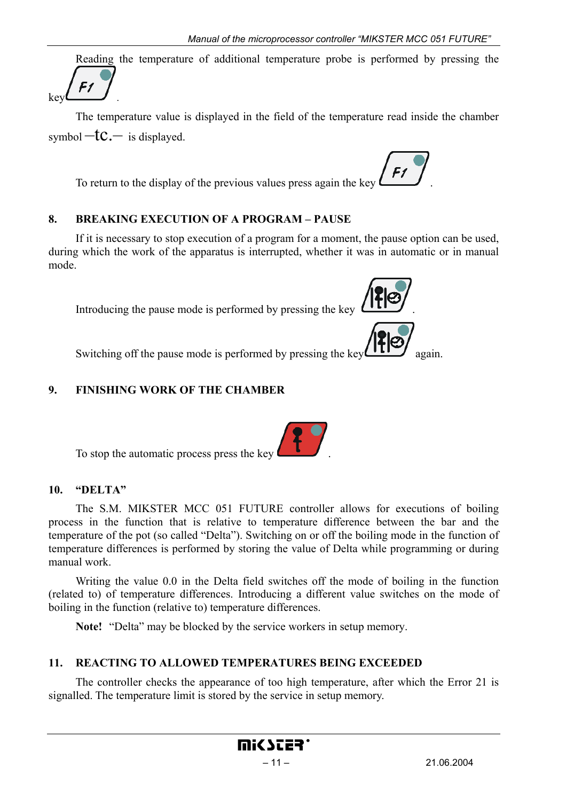Reading the temperature of additional temperature probe is performed by pressing the  $F<sub>f</sub>$ 

The temperature value is displayed in the field of the temperature read inside the chamber symbol  $-tc$  is displayed.

To return to the display of the previous values press again the key .

## **8. BREAKING EXECUTION OF A PROGRAM – PAUSE**

If it is necessary to stop execution of a program for a moment, the pause option can be used, during which the work of the apparatus is interrupted, whether it was in automatic or in manual mode.

Introducing the pause mode is performed by pressing the key  $\mathfrak l$ 



Switching off the pause mode is performed by pressing the key  $\left(\prod_{i=1}^{\infty} a_{i} \right)$  again.

## **9. FINISHING WORK OF THE CHAMBER**

To stop the automatic process press the key .

## **10. "DELTA"**

 $keV$ 

The S.M. MIKSTER MCC 051 FUTURE controller allows for executions of boiling process in the function that is relative to temperature difference between the bar and the temperature of the pot (so called "Delta"). Switching on or off the boiling mode in the function of temperature differences is performed by storing the value of Delta while programming or during manual work.

Writing the value 0.0 in the Delta field switches off the mode of boiling in the function (related to) of temperature differences. Introducing a different value switches on the mode of boiling in the function (relative to) temperature differences.

**Note!** "Delta" may be blocked by the service workers in setup memory.

## **11. REACTING TO ALLOWED TEMPERATURES BEING EXCEEDED**

The controller checks the appearance of too high temperature, after which the Error 21 is signalled. The temperature limit is stored by the service in setup memory.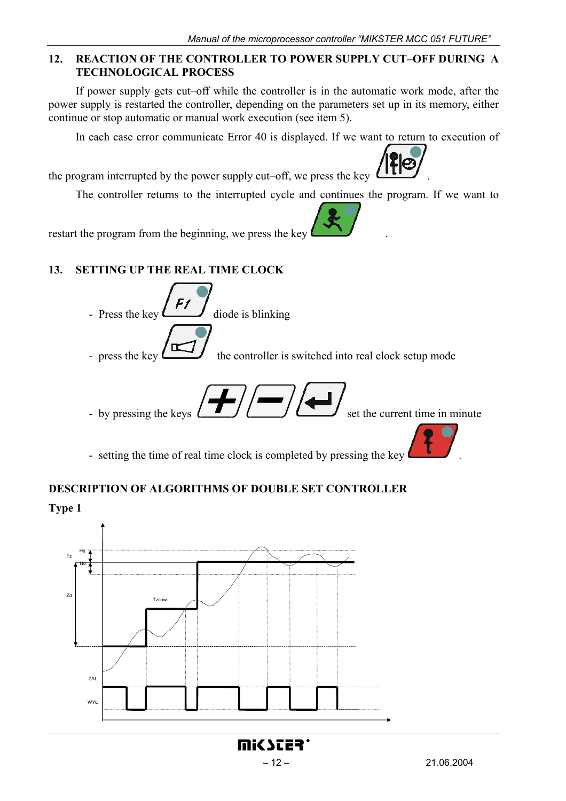Ø

#### **12. REACTION OF THE CONTROLLER TO POWER SUPPLY CUT–OFF DURING A TECHNOLOGICAL PROCESS**

If power supply gets cut–off while the controller is in the automatic work mode, after the power supply is restarted the controller, depending on the parameters set up in its memory, either continue or stop automatic or manual work execution (see item 5).

In each case error communicate Error 40 is displayed. If we want to return to execution of

the program interrupted by the power supply cut–off, we press the key .

The controller returns to the interrupted cycle and continues the program. If we want to

restart the program from the beginning, we press the key

## **13. SETTING UP THE REAL TIME CLOCK**

- Press the key  $\overline{a}$  diode is blinking
- press the key  $\begin{array}{c} \hline \text{...} \\ \text{...} \end{array}$  the controller is switched into real clock setup mode
- by pressing the keys  $\left(\begin{array}{c} \blacksquare \end{array}\right)$   $\left(\begin{array}{c} \blacksquare \end{array}\right)$  set the current time in minute

- setting the time of real time clock is completed by pressing the key

## **DESCRIPTION OF ALGORITHMS OF DOUBLE SET CONTROLLER**